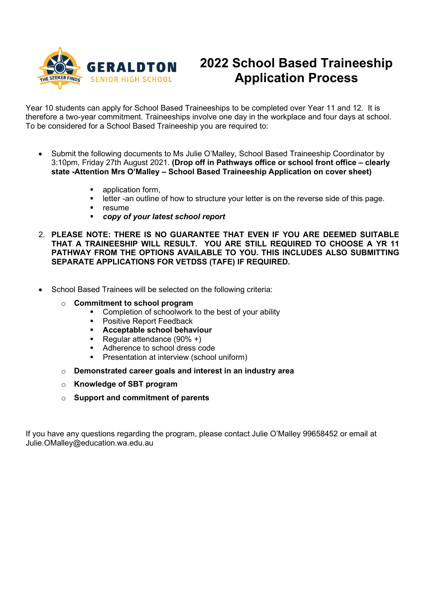

# **2022 School Based Traineeship Application Process**

Year 10 students can apply for School Based Traineeships to be completed over Year 11 and 12. It is therefore a two-year commitment. Traineeships involve one day in the workplace and four days at school. To be considered for a School Based Traineeship you are required to:

- Submit the following documents to Ms Julie O'Malley, School Based Traineeship Coordinator by 3:10pm, Friday 27th August 2021. **(Drop off in Pathways office or school front office – clearly state -Attention Mrs O'Malley – School Based Traineeship Application on cover sheet)**
	- **•** application form,
	- letter -an outline of how to structure your letter is on the reverse side of this page.
	- **F** resume
	- *copy of your latest school report*
- 2. **PLEASE NOTE: THERE IS NO GUARANTEE THAT EVEN IF YOU ARE DEEMED SUITABLE THAT A TRAINEESHIP WILL RESULT. YOU ARE STILL REQUIRED TO CHOOSE A YR 11 PATHWAY FROM THE OPTIONS AVAILABLE TO YOU. THIS INCLUDES ALSO SUBMITTING SEPARATE APPLICATIONS FOR VETDSS (TAFE) IF REQUIRED.**
- School Based Trainees will be selected on the following criteria:
	- o **Commitment to school program** 
		- **EXECOMPLE COMPLETED COMPLETED** Completion of schoolwork to the best of your ability
		- Positive Report Feedback
		- **Acceptable school behaviour**
		- Regular attendance  $(90\% +)$ <br>Adherence to school dress com-
		- Adherence to school dress code
		- **Presentation at interview (school uniform)**
	- o **Demonstrated career goals and interest in an industry area**
	- o **Knowledge of SBT program**
	- o **Support and commitment of parents**

If you have any questions regarding the program, please contact Julie O'Malley 99658452 or email at Julie.OMalley@education.wa.edu.au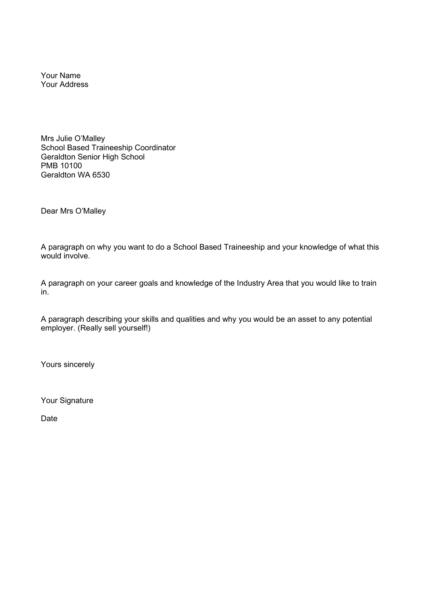Your Name Your Address

Mrs Julie O'Malley School Based Traineeship Coordinator Geraldton Senior High School PMB 10100 Geraldton WA 6530

Dear Mrs O'Malley

A paragraph on why you want to do a School Based Traineeship and your knowledge of what this would involve.

A paragraph on your career goals and knowledge of the Industry Area that you would like to train in.

A paragraph describing your skills and qualities and why you would be an asset to any potential employer. (Really sell yourself!)

Yours sincerely

Your Signature

Date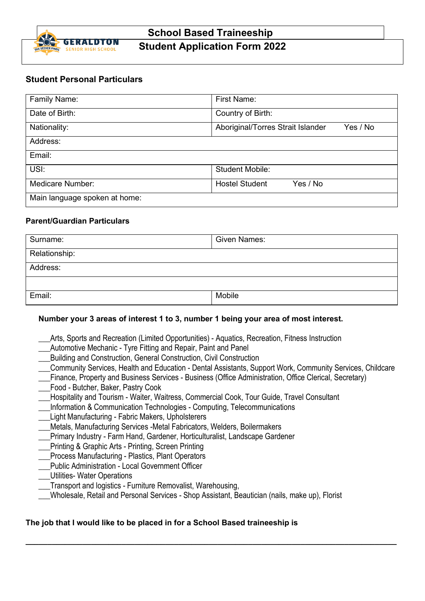

# **School Based Traineeship Student Application Form 2022**

# **Student Personal Particulars**

| Family Name:                  | First Name:                                   |  |  |
|-------------------------------|-----------------------------------------------|--|--|
| Date of Birth:                | Country of Birth:                             |  |  |
| Nationality:                  | Aboriginal/Torres Strait Islander<br>Yes / No |  |  |
| Address:                      |                                               |  |  |
| Email:                        |                                               |  |  |
| USI:                          | <b>Student Mobile:</b>                        |  |  |
| Medicare Number:              | <b>Hostel Student</b><br>Yes / No             |  |  |
| Main language spoken at home: |                                               |  |  |

#### **Parent/Guardian Particulars**

| Surname:      | <b>Given Names:</b> |  |
|---------------|---------------------|--|
| Relationship: |                     |  |
| Address:      |                     |  |
|               |                     |  |
| Email:        | Mobile              |  |

## **Number your 3 areas of interest 1 to 3, number 1 being your area of most interest.**

- Arts, Sports and Recreation (Limited Opportunities) Aquatics, Recreation, Fitness Instruction
- \_\_\_Automotive Mechanic Tyre Fitting and Repair, Paint and Panel
- \_\_\_Building and Construction, General Construction, Civil Construction
- \_\_\_Community Services, Health and Education Dental Assistants, Support Work, Community Services, Childcare
- \_\_\_Finance, Property and Business Services Business (Office Administration, Office Clerical, Secretary)
- \_\_\_Food Butcher, Baker, Pastry Cook
- Hospitality and Tourism Waiter, Waitress, Commercial Cook, Tour Guide, Travel Consultant
- Information & Communication Technologies Computing, Telecommunications
- Light Manufacturing Fabric Makers, Upholsterers
- \_\_\_Metals, Manufacturing Services -Metal Fabricators, Welders, Boilermakers
- Primary Industry Farm Hand, Gardener, Horticulturalist, Landscape Gardener
- \_\_\_Printing & Graphic Arts Printing, Screen Printing
- \_\_\_Process Manufacturing Plastics, Plant Operators
- \_\_\_Public Administration Local Government Officer
- \_\_\_Utilities- Water Operations
- \_\_\_Transport and logistics Furniture Removalist, Warehousing,
- \_\_\_Wholesale, Retail and Personal Services Shop Assistant, Beautician (nails, make up), Florist

**\_\_\_\_\_\_\_\_\_\_\_\_\_\_\_\_\_\_\_\_\_\_\_\_\_\_\_\_\_\_\_\_\_\_\_\_\_\_\_\_\_\_\_\_\_\_\_\_\_\_\_\_\_\_\_\_\_\_\_\_\_\_\_\_\_\_\_\_\_\_\_\_\_\_\_\_\_\_\_\_\_\_\_\_\_**

## **The job that I would like to be placed in for a School Based traineeship is**